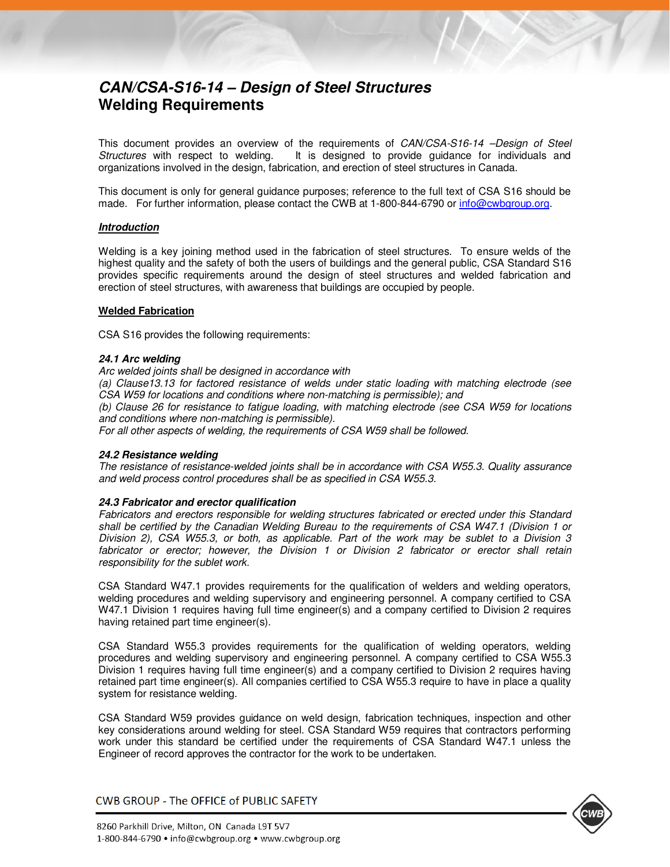# *CAN/CSA-S16-14 – Design of Steel Structures* **Welding Requirements**

This document provides an overview of the requirements of CAN/CSA-S16-14 –Design of Steel Structures with respect to welding. It is designed to provide guidance for individuals and organizations involved in the design, fabrication, and erection of steel structures in Canada.

This document is only for general guidance purposes; reference to the full text of CSA S16 should be made. For further information, please contact the CWB at 1-800-844-6790 or info@cwbgroup.org.

# *Introduction*

Welding is a key joining method used in the fabrication of steel structures. To ensure welds of the highest quality and the safety of both the users of buildings and the general public, CSA Standard S16 provides specific requirements around the design of steel structures and welded fabrication and erection of steel structures, with awareness that buildings are occupied by people.

# **Welded Fabrication**

CSA S16 provides the following requirements:

#### *24.1 Arc welding*

Arc welded joints shall be designed in accordance with

(a) Clause13.13 for factored resistance of welds under static loading with matching electrode (see CSA W59 for locations and conditions where non-matching is permissible); and

(b) Clause 26 for resistance to fatigue loading, with matching electrode (see CSA W59 for locations and conditions where non-matching is permissible).

For all other aspects of welding, the requirements of CSA W59 shall be followed.

#### *24.2 Resistance welding*

The resistance of resistance-welded joints shall be in accordance with CSA W55.3. Quality assurance and weld process control procedures shall be as specified in CSA W55.3.

#### *24.3 Fabricator and erector qualification*

Fabricators and erectors responsible for welding structures fabricated or erected under this Standard shall be certified by the Canadian Welding Bureau to the requirements of CSA W47.1 (Division 1 or Division 2), CSA W55.3, or both, as applicable. Part of the work may be sublet to a Division 3 fabricator or erector; however, the Division 1 or Division 2 fabricator or erector shall retain responsibility for the sublet work.

CSA Standard W47.1 provides requirements for the qualification of welders and welding operators, welding procedures and welding supervisory and engineering personnel. A company certified to CSA W47.1 Division 1 requires having full time engineer(s) and a company certified to Division 2 requires having retained part time engineer(s).

CSA Standard W55.3 provides requirements for the qualification of welding operators, welding procedures and welding supervisory and engineering personnel. A company certified to CSA W55.3 Division 1 requires having full time engineer(s) and a company certified to Division 2 requires having retained part time engineer(s). All companies certified to CSA W55.3 require to have in place a quality system for resistance welding.

CSA Standard W59 provides guidance on weld design, fabrication techniques, inspection and other key considerations around welding for steel. CSA Standard W59 requires that contractors performing work under this standard be certified under the requirements of CSA Standard W47.1 unless the Engineer of record approves the contractor for the work to be undertaken.

CWB GROUP - The OFFICE of PUBLIC SAFETY

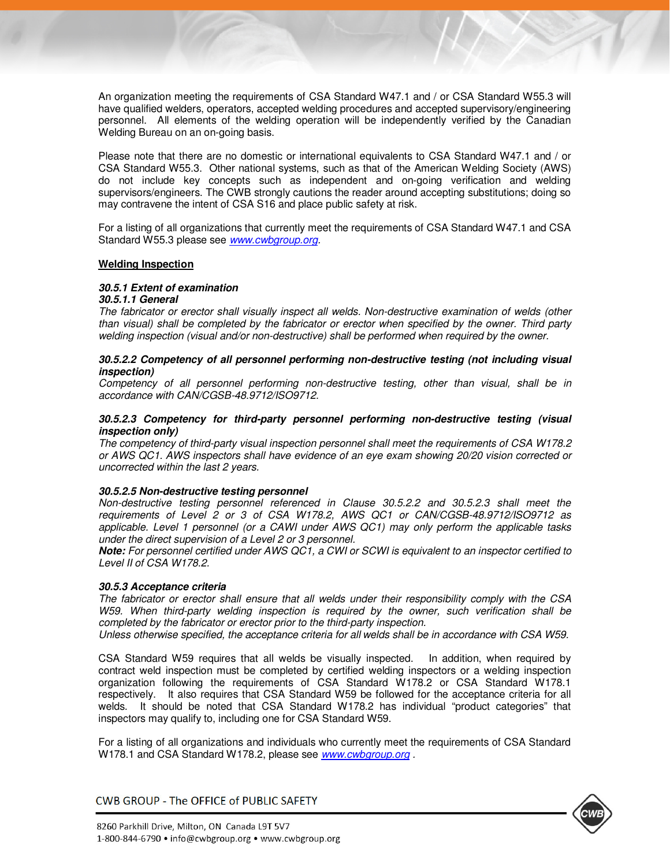An organization meeting the requirements of CSA Standard W47.1 and / or CSA Standard W55.3 will have qualified welders, operators, accepted welding procedures and accepted supervisory/engineering personnel. All elements of the welding operation will be independently verified by the Canadian Welding Bureau on an on-going basis.

Please note that there are no domestic or international equivalents to CSA Standard W47.1 and / or CSA Standard W55.3. Other national systems, such as that of the American Welding Society (AWS) do not include key concepts such as independent and on-going verification and welding supervisors/engineers. The CWB strongly cautions the reader around accepting substitutions; doing so may contravene the intent of CSA S16 and place public safety at risk.

For a listing of all organizations that currently meet the requirements of CSA Standard W47.1 and CSA Standard W55.3 please see www.cwbgroup.org.

#### **Welding Inspection**

# *30.5.1 Extent of examination*

#### *30.5.1.1 General*

The fabricator or erector shall visually inspect all welds. Non-destructive examination of welds (other than visual) shall be completed by the fabricator or erector when specified by the owner. Third party welding inspection (visual and/or non-destructive) shall be performed when required by the owner.

### *30.5.2.2 Competency of all personnel performing non-destructive testing (not including visual inspection)*

Competency of all personnel performing non-destructive testing, other than visual, shall be in accordance with CAN/CGSB-48.9712/ISO9712.

#### *30.5.2.3 Competency for third-party personnel performing non-destructive testing (visual inspection only)*

The competency of third-party visual inspection personnel shall meet the requirements of CSA W178.2 or AWS QC1. AWS inspectors shall have evidence of an eye exam showing 20/20 vision corrected or uncorrected within the last 2 years.

#### *30.5.2.5 Non-destructive testing personnel*

Non-destructive testing personnel referenced in Clause 30.5.2.2 and 30.5.2.3 shall meet the requirements of Level 2 or 3 of CSA W178.2, AWS QC1 or CAN/CGSB-48.9712/ISO9712 as applicable. Level 1 personnel (or a CAWI under AWS QC1) may only perform the applicable tasks under the direct supervision of a Level 2 or 3 personnel.

*Note:* For personnel certified under AWS QC1, a CWI or SCWI is equivalent to an inspector certified to Level II of CSA W178.2.

# *30.5.3 Acceptance criteria*

The fabricator or erector shall ensure that all welds under their responsibility comply with the CSA W59. When third-party welding inspection is required by the owner, such verification shall be completed by the fabricator or erector prior to the third-party inspection.

Unless otherwise specified, the acceptance criteria for all welds shall be in accordance with CSA W59.

CSA Standard W59 requires that all welds be visually inspected. In addition, when required by contract weld inspection must be completed by certified welding inspectors or a welding inspection organization following the requirements of CSA Standard W178.2 or CSA Standard W178.1 respectively. It also requires that CSA Standard W59 be followed for the acceptance criteria for all welds. It should be noted that CSA Standard W178.2 has individual "product categories" that inspectors may qualify to, including one for CSA Standard W59.

For a listing of all organizations and individuals who currently meet the requirements of CSA Standard W178.1 and CSA Standard W178.2, please see www.cwbgroup.org.

CWB GROUP - The OFFICE of PUBLIC SAFETY